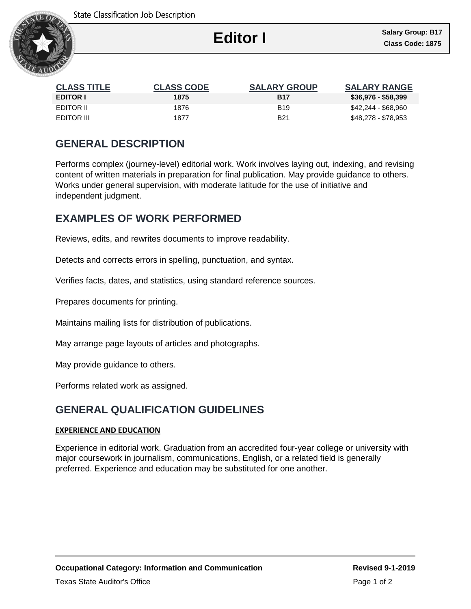

Ι

| <b>CLASS TITLE</b> | <b>CLASS CODE</b> | <b>SALARY GROUP</b> | <b>SALARY RANGE</b> |
|--------------------|-------------------|---------------------|---------------------|
| <b>EDITOR I</b>    | 1875              | <b>B17</b>          | \$36,976 - \$58,399 |
| EDITOR II          | 1876              | <b>B19</b>          | \$42,244 - \$68,960 |
| EDITOR III         | 1877              | <b>B21</b>          | \$48,278 - \$78,953 |

## **GENERAL DESCRIPTION**

Performs complex (journey-level) editorial work. Work involves laying out, indexing, and revising content of written materials in preparation for final publication. May provide guidance to others. Works under general supervision, with moderate latitude for the use of initiative and independent judgment.

### **EXAMPLES OF WORK PERFORMED**

Reviews, edits, and rewrites documents to improve readability.

Detects and corrects errors in spelling, punctuation, and syntax.

Verifies facts, dates, and statistics, using standard reference sources.

Prepares documents for printing.

Maintains mailing lists for distribution of publications.

May arrange page layouts of articles and photographs.

May provide guidance to others.

Performs related work as assigned.

# **GENERAL QUALIFICATION GUIDELINES**

#### **EXPERIENCE AND EDUCATION**

Experience in editorial work. Graduation from an accredited four-year college or university with major coursework in journalism, communications, English, or a related field is generally preferred. Experience and education may be substituted for one another.